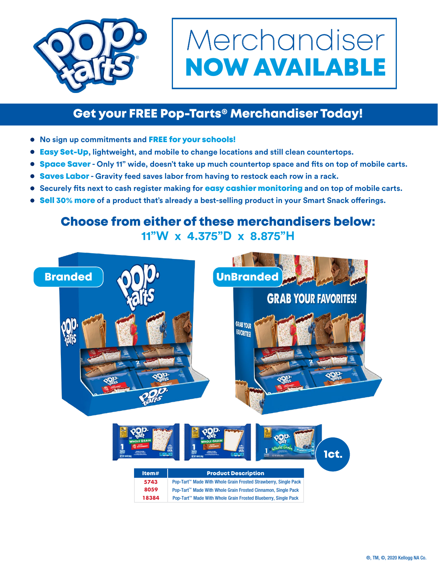

## Merchandiser NOW AVAILABLE

## Get your FREE Pop-Tarts® Merchandiser Today!

- **•** No sign up commitments and **FREE for your schools!**
- Easy Set-Up**, lightweight, and mobile to change locations and still clean countertops.**
- $\bullet$ Space Saver **- Only 11" wide, doesn't take up much countertop space and fits on top of mobile carts.**
- **Saves Labor Gravity feed saves labor from having to restock each row in a rack.**
- **Securely fits next to cash register making for** easy cashier monitoring **and on top of mobile carts.**
- **Sell 30% more of a product that's already a best-selling product in your Smart Snack offerings.**

## Choose from either of these merchandisers below: **11"W x 4.375"D x 8.875"H**